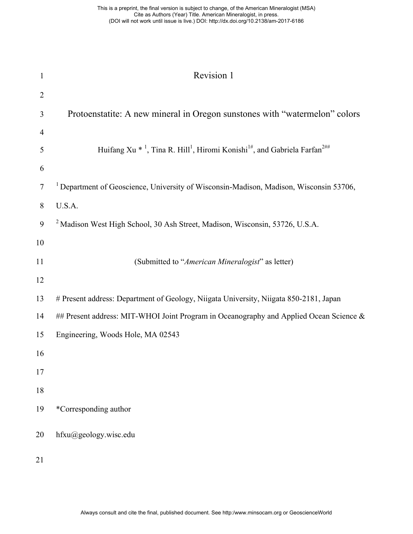| $\mathbf{1}$   | Revision 1                                                                                                                           |
|----------------|--------------------------------------------------------------------------------------------------------------------------------------|
| $\overline{2}$ |                                                                                                                                      |
| 3              | Protoenstatite: A new mineral in Oregon sunstones with "watermelon" colors                                                           |
| 4              |                                                                                                                                      |
| 5              | Huifang Xu <sup>*</sup> <sup>1</sup> , Tina R. Hill <sup>1</sup> , Hiromi Konishi <sup>1#</sup> , and Gabriela Farfan <sup>2##</sup> |
| 6              |                                                                                                                                      |
| 7              | <sup>1</sup> Department of Geoscience, University of Wisconsin-Madison, Madison, Wisconsin 53706,                                    |
| 8              | U.S.A.                                                                                                                               |
| 9              | <sup>2</sup> Madison West High School, 30 Ash Street, Madison, Wisconsin, 53726, U.S.A.                                              |
| 10             |                                                                                                                                      |
| 11             | (Submitted to "American Mineralogist" as letter)                                                                                     |
| 12             |                                                                                                                                      |
| 13             | # Present address: Department of Geology, Niigata University, Niigata 850-2181, Japan                                                |
| 14             | ## Present address: MIT-WHOI Joint Program in Oceanography and Applied Ocean Science &                                               |
| 15             | Engineering, Woods Hole, MA 02543                                                                                                    |
| 16             |                                                                                                                                      |
| 17             |                                                                                                                                      |
| 18             |                                                                                                                                      |
| 19             | *Corresponding author                                                                                                                |
| 20             | hfxu@geology.wisc.edu                                                                                                                |
| 21             |                                                                                                                                      |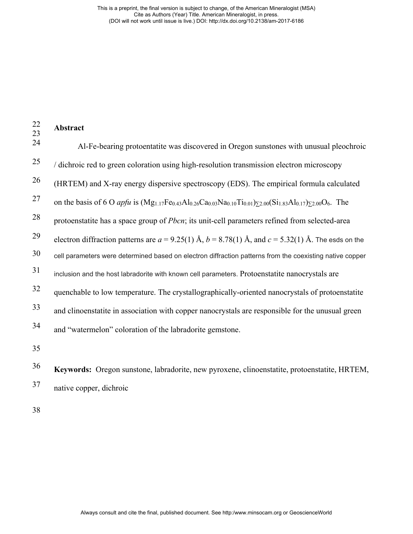| $22\,$<br>23 | Abstract                                                                                                                                               |
|--------------|--------------------------------------------------------------------------------------------------------------------------------------------------------|
| 24           | Al-Fe-bearing protoentatite was discovered in Oregon sunstones with unusual pleochroic                                                                 |
| 25           | / dichroic red to green coloration using high-resolution transmission electron microscopy                                                              |
| 26           | (HRTEM) and X-ray energy dispersive spectroscopy (EDS). The empirical formula calculated                                                               |
| 27           | on the basis of 6 O <i>apfu</i> is $(Mg_{1.17}Fe_{0.43}Al_{0.26}Ca_{0.03}Na_{0.10}Ti_{0.01})_{\Sigma 2.00}(Si_{1.83}Al_{0.17})_{\Sigma 2.00}O_6$ . The |
| 28           | protoenstatite has a space group of <i>Pbcn</i> ; its unit-cell parameters refined from selected-area                                                  |
| 29           | electron diffraction patterns are $a = 9.25(1)$ Å, $b = 8.78(1)$ Å, and $c = 5.32(1)$ Å. The esds on the                                               |
| 30           | cell parameters were determined based on electron diffraction patterns from the coexisting native copper                                               |
| 31           | inclusion and the host labradorite with known cell parameters. Protoenstatite nanocrystals are                                                         |
| 32           | quenchable to low temperature. The crystallographically-oriented nanocrystals of protoenstatite                                                        |
| 33           | and clinoenstatite in association with copper nanocrystals are responsible for the unusual green                                                       |
| 34           | and "watermelon" coloration of the labradorite gemstone.                                                                                               |
| 35           |                                                                                                                                                        |
| 36           | Keywords: Oregon sunstone, labradorite, new pyroxene, clinoenstatite, protoenstatite, HRTEM,                                                           |

37 native copper, dichroic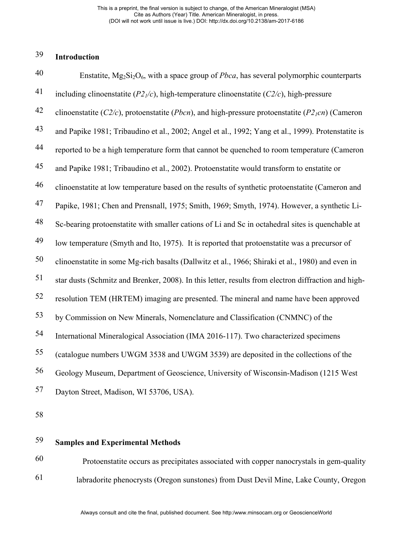### 39 **Introduction**

| 40 | Enstatite, $Mg_2Si_2O_6$ , with a space group of <i>Pbca</i> , has several polymorphic counterparts               |
|----|-------------------------------------------------------------------------------------------------------------------|
| 41 | including clinoenstatite $(P21/c)$ , high-temperature clinoenstatite $(C2/c)$ , high-pressure                     |
| 42 | clinoenstatite ( $C2/c$ ), protoenstatite ( <i>Pbcn</i> ), and high-pressure protoenstatite ( $P2_1cn$ ) (Cameron |
| 43 | and Papike 1981; Tribaudino et al., 2002; Angel et al., 1992; Yang et al., 1999). Protenstatite is                |
| 44 | reported to be a high temperature form that cannot be quenched to room temperature (Cameron                       |
| 45 | and Papike 1981; Tribaudino et al., 2002). Protoenstatite would transform to enstatite or                         |
| 46 | clinoenstatite at low temperature based on the results of synthetic protoenstatite (Cameron and                   |
| 47 | Papike, 1981; Chen and Prensnall, 1975; Smith, 1969; Smyth, 1974). However, a synthetic Li-                       |
| 48 | Sc-bearing protoenstatite with smaller cations of Li and Sc in octahedral sites is quenchable at                  |
| 49 | low temperature (Smyth and Ito, 1975). It is reported that protoenstatite was a precursor of                      |
| 50 | clinoenstatite in some Mg-rich basalts (Dallwitz et al., 1966; Shiraki et al., 1980) and even in                  |
| 51 | star dusts (Schmitz and Brenker, 2008). In this letter, results from electron diffraction and high-               |
| 52 | resolution TEM (HRTEM) imaging are presented. The mineral and name have been approved                             |
| 53 | by Commission on New Minerals, Nomenclature and Classification (CNMNC) of the                                     |
| 54 | International Mineralogical Association (IMA 2016-117). Two characterized specimens                               |
| 55 | (catalogue numbers UWGM 3538 and UWGM 3539) are deposited in the collections of the                               |
| 56 | Geology Museum, Department of Geoscience, University of Wisconsin-Madison (1215 West                              |
| 57 | Dayton Street, Madison, WI 53706, USA).                                                                           |
|    |                                                                                                                   |

58

### 59 **Samples and Experimental Methods**

60 Protoenstatite occurs as precipitates associated with copper nanocrystals in gem-quality labradorite phenocrysts (Oregon sunstones) from Dust Devil Mine, Lake County, Oregon 61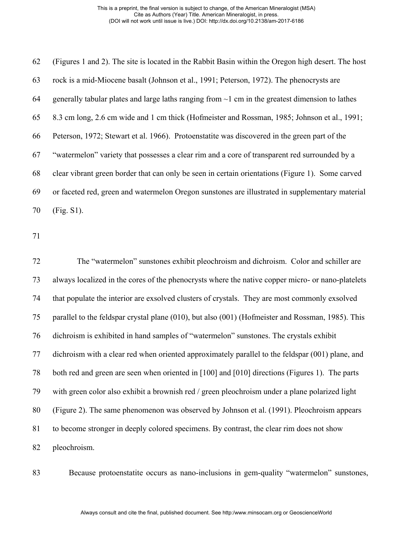(Figures 1 and 2). The site is located in the Rabbit Basin within the Oregon high desert. The host rock is a mid-Miocene basalt (Johnson et al., 1991; Peterson, 1972). The phenocrysts are 64 generally tabular plates and large laths ranging from  $\sim$ 1 cm in the greatest dimension to lathes 8.3 cm long, 2.6 cm wide and 1 cm thick (Hofmeister and Rossman, 1985; Johnson et al., 1991; Peterson, 1972; Stewart et al. 1966). Protoenstatite was discovered in the green part of the "watermelon" variety that possesses a clear rim and a core of transparent red surrounded by a clear vibrant green border that can only be seen in certain orientations (Figure 1). Some carved or faceted red, green and watermelon Oregon sunstones are illustrated in supplementary material (Fig. S1).

 The "watermelon" sunstones exhibit pleochroism and dichroism. Color and schiller are always localized in the cores of the phenocrysts where the native copper micro- or nano-platelets that populate the interior are exsolved clusters of crystals. They are most commonly exsolved parallel to the feldspar crystal plane (010), but also (001) (Hofmeister and Rossman, 1985). This dichroism is exhibited in hand samples of "watermelon" sunstones. The crystals exhibit dichroism with a clear red when oriented approximately parallel to the feldspar (001) plane, and both red and green are seen when oriented in [100] and [010] directions (Figures 1). The parts with green color also exhibit a brownish red / green pleochroism under a plane polarized light (Figure 2). The same phenomenon was observed by Johnson et al. (1991). Pleochroism appears to become stronger in deeply colored specimens. By contrast, the clear rim does not show pleochroism.

Because protoenstatite occurs as nano-inclusions in gem-quality "watermelon" sunstones,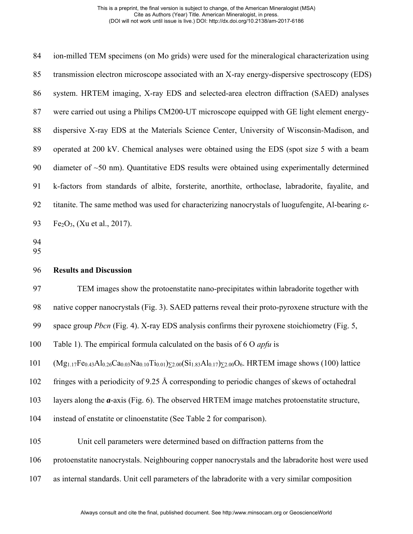ion-milled TEM specimens (on Mo grids) were used for the mineralogical characterization using transmission electron microscope associated with an X-ray energy-dispersive spectroscopy (EDS) system. HRTEM imaging, X-ray EDS and selected-area electron diffraction (SAED) analyses were carried out using a Philips CM200-UT microscope equipped with GE light element energy- dispersive X-ray EDS at the Materials Science Center, University of Wisconsin-Madison, and operated at 200 kV. Chemical analyses were obtained using the EDS (spot size 5 with a beam diameter of ~50 nm). Quantitative EDS results were obtained using experimentally determined k-factors from standards of albite, forsterite, anorthite, orthoclase, labradorite, fayalite, and titanite. The same method was used for characterizing nanocrystals of luogufengite, Al-bearing ε-93 Fe<sub>2</sub>O<sub>3</sub>, (Xu et al., 2017).

- 
- 

## **Results and Discussion**

TEM images show the protoenstatite nano-precipitates within labradorite together with

native copper nanocrystals (Fig. 3). SAED patterns reveal their proto-pyroxene structure with the

space group *Pbcn* (Fig. 4). X-ray EDS analysis confirms their pyroxene stoichiometry (Fig. 5,

Table 1). The empirical formula calculated on the basis of 6 O *apfu* is

101 (Mg<sub>1.17</sub>Fe<sub>0.43</sub>Al<sub>0.26</sub>Ca<sub>0.03</sub>Na<sub>0.10</sub>Ti<sub>0.01</sub>)<sub> $>z.00$ </sub>(Si<sub>1.83</sub>Al<sub>0.17</sub>) $_{52.00}$ O<sub>6</sub>. HRTEM image shows (100) lattice

fringes with a periodicity of 9.25 Å corresponding to periodic changes of skews of octahedral

layers along the *a*-axis (Fig. 6). The observed HRTEM image matches protoenstatite structure,

instead of enstatite or clinoenstatite (See Table 2 for comparison).

Unit cell parameters were determined based on diffraction patterns from the

protoenstatite nanocrystals. Neighbouring copper nanocrystals and the labradorite host were used

as internal standards. Unit cell parameters of the labradorite with a very similar composition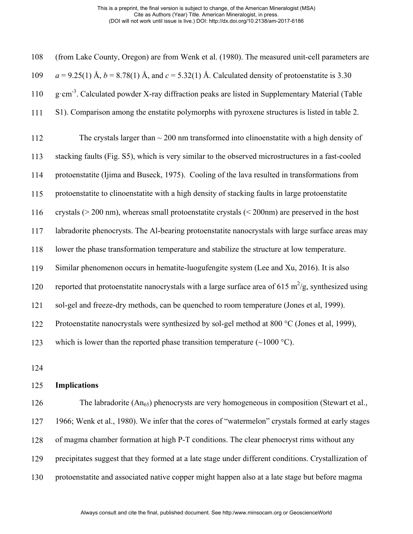| 108 | (from Lake County, Oregon) are from Wenk et al. (1980). The measured unit-cell parameters are              |
|-----|------------------------------------------------------------------------------------------------------------|
| 109 | $a = 9.25(1)$ Å, $b = 8.78(1)$ Å, and $c = 5.32(1)$ Å. Calculated density of protoenstatite is 3.30        |
| 110 | g·cm <sup>-3</sup> . Calculated powder X-ray diffraction peaks are listed in Supplementary Material (Table |
| 111 | S1). Comparison among the enstatite polymorphs with pyroxene structures is listed in table 2.              |
| 112 | The crystals larger than $\sim$ 200 nm transformed into clinoenstatite with a high density of              |
| 113 | stacking faults (Fig. S5), which is very similar to the observed microstructures in a fast-cooled          |
| 114 | protoenstatite (Ijima and Buseck, 1975). Cooling of the lava resulted in transformations from              |
| 115 | protoenstatite to clinoenstatite with a high density of stacking faults in large protoenstatite            |
| 116 | crystals ( $>$ 200 nm), whereas small protoenstatite crystals ( $<$ 200nm) are preserved in the host       |
| 117 | labradorite phenocrysts. The Al-bearing protoenstatite nanocrystals with large surface areas may           |
| 118 | lower the phase transformation temperature and stabilize the structure at low temperature.                 |
| 119 | Similar phenomenon occurs in hematite-luogufengite system (Lee and Xu, 2016). It is also                   |
| 120 | reported that protoenstatite nanocrystals with a large surface area of 615 $m^2/g$ , synthesized using     |
| 121 | sol-gel and freeze-dry methods, can be quenched to room temperature (Jones et al, 1999).                   |
| 122 | Protoenstatite nanocrystals were synthesized by sol-gel method at 800 °C (Jones et al, 1999),              |
| 123 | which is lower than the reported phase transition temperature $(\sim 1000 \degree C)$ .                    |
| 124 |                                                                                                            |
| 125 | <b>Implications</b>                                                                                        |
| 126 | The labradorite (An <sub>65</sub> ) phenocrysts are very homogeneous in composition (Stewart et al.,       |
| 127 | 1966; Wenk et al., 1980). We infer that the cores of "watermelon" crystals formed at early stages          |

of magma chamber formation at high P-T conditions. The clear phenocryst rims without any

- precipitates suggest that they formed at a late stage under different conditions. Crystallization of
- protoenstatite and associated native copper might happen also at a late stage but before magma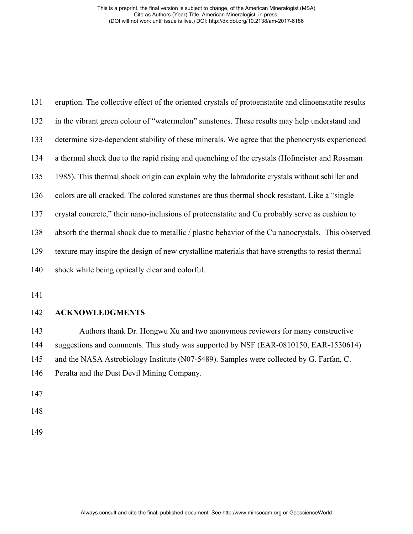| 131 | eruption. The collective effect of the oriented crystals of protoenstatite and clinoenstatite results |
|-----|-------------------------------------------------------------------------------------------------------|
| 132 | in the vibrant green colour of "watermelon" sunstones. These results may help understand and          |
| 133 | determine size-dependent stability of these minerals. We agree that the phenocrysts experienced       |
| 134 | a thermal shock due to the rapid rising and quenching of the crystals (Hofmeister and Rossman         |
| 135 | 1985). This thermal shock origin can explain why the labradorite crystals without schiller and        |
| 136 | colors are all cracked. The colored sunstones are thus thermal shock resistant. Like a "single"       |
| 137 | crystal concrete," their nano-inclusions of protoenstatite and Cu probably serve as cushion to        |
| 138 | absorb the thermal shock due to metallic / plastic behavior of the Cu nanocrystals. This observed     |
| 139 | texture may inspire the design of new crystalline materials that have strengths to resist thermal     |
| 140 | shock while being optically clear and colorful.                                                       |

# **ACKNOWLEDGMENTS**

 Authors thank Dr. Hongwu Xu and two anonymous reviewers for many constructive suggestions and comments. This study was supported by NSF (EAR-0810150, EAR-1530614) and the NASA Astrobiology Institute (N07-5489). Samples were collected by G. Farfan, C. Peralta and the Dust Devil Mining Company.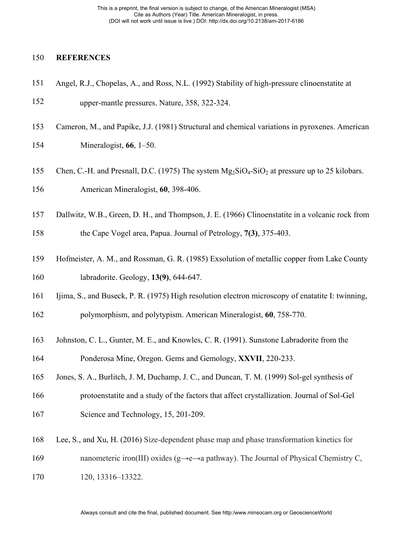# **REFERENCES**

| 151 | Angel, R.J., Chopelas, A., and Ross, N.L. (1992) Stability of high-pressure clinoenstatite at                 |
|-----|---------------------------------------------------------------------------------------------------------------|
| 152 | upper-mantle pressures. Nature, 358, 322-324.                                                                 |
| 153 | Cameron, M., and Papike, J.J. (1981) Structural and chemical variations in pyroxenes. American                |
| 154 | Mineralogist, $66$ , $1-50$ .                                                                                 |
| 155 | Chen, C.-H. and Presnall, D.C. (1975) The system $Mg_2SiO_4-SiO_2$ at pressure up to 25 kilobars.             |
| 156 | American Mineralogist, 60, 398-406.                                                                           |
| 157 | Dallwitz, W.B., Green, D. H., and Thompson, J. E. (1966) Clinoenstatite in a volcanic rock from               |
| 158 | the Cape Vogel area, Papua. Journal of Petrology, 7(3), 375-403.                                              |
| 159 | Hofmeister, A. M., and Rossman, G. R. (1985) Exsolution of metallic copper from Lake County                   |
| 160 | labradorite. Geology, 13(9), 644-647.                                                                         |
| 161 | Ijima, S., and Buseck, P. R. (1975) High resolution electron microscopy of enatatite I: twinning,             |
| 162 | polymorphism, and polytypism. American Mineralogist, 60, 758-770.                                             |
| 163 | Johnston, C. L., Gunter, M. E., and Knowles, C. R. (1991). Sunstone Labradorite from the                      |
| 164 | Ponderosa Mine, Oregon. Gems and Gemology, XXVII, 220-233.                                                    |
| 165 | Jones, S. A., Burlitch, J. M, Duchamp, J. C., and Duncan, T. M. (1999) Sol-gel synthesis of                   |
| 166 | protoenstatite and a study of the factors that affect crystallization. Journal of Sol-Gel                     |
| 167 | Science and Technology, 15, 201-209.                                                                          |
| 168 | Lee, S., and Xu, H. (2016) Size-dependent phase map and phase transformation kinetics for                     |
| 169 | nanometeric iron(III) oxides ( $g \rightarrow e \rightarrow a$ pathway). The Journal of Physical Chemistry C, |
| 170 | 120, 13316-13322.                                                                                             |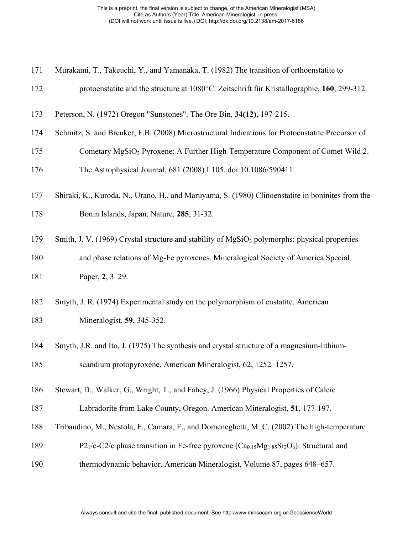| 171 |  |  |  |  |  |  | Murakami, T., Takeuchi, Y., and Yamanaka, T. (1982) The transition of orthoenstatite to |  |
|-----|--|--|--|--|--|--|-----------------------------------------------------------------------------------------|--|
|-----|--|--|--|--|--|--|-----------------------------------------------------------------------------------------|--|

- protoenstatite and the structure at 1080°C. Zeitschrift für Kristallographie, **160**, 299-312.
- Peterson, N. (1972) Oregon "Sunstones". The Ore Bin, **34(12)**, 197-215.
- Schmitz, S. and Brenker, F.B. (2008) Microstructural Indications for Protoenstatite Precursor of
- 175 Cometary MgSiO<sub>3</sub> Pyroxene: A Further High-Temperature Component of Comet Wild 2. The Astrophysical Journal, 681 (2008) L105. doi:10.1086/590411.
- Shiraki, K., Kuroda, N., Urano, H., and Maruyama, S. (1980) Clinoenstatite in boninites from the
- Bonin Islands, Japan. Nature, **285**, 31-32.
- 179 Smith, J. V. (1969) Crystal structure and stability of  $MgSiO<sub>3</sub>$  polymorphs: physical properties
- and phase relations of Mg-Fe pyroxenes. Mineralogical Society of America Special
- Paper, **2**, 3–29.
- Smyth, J. R. (1974) Experimental study on the polymorphism of enstatite. American Mineralogist, **59**, 345-352.
- Smyth, J.R. and Ito, J. (1975) The synthesis and crystal structure of a magnesium-lithium-scandium protopyroxene. American Mineralogist, 62, 1252–1257.
- Stewart, D., Walker, G., Wright, T., and Fahey, J. (1966) Physical Properties of Calcic
- Labradorite from Lake County, Oregon. American Mineralogist, **51**, 177-197.
- Tribaudino, M., Nestola, F., Camara, F., and Domeneghetti, M. C. (2002) The high-temperature
- 189 P2<sub>1</sub>/c-C2/c phase transition in Fe-free pyroxene  $(Ca<sub>0.15</sub>Mg<sub>1.85</sub>Si<sub>2</sub>O<sub>6</sub>)$ : Structural and
- thermodynamic behavior. American Mineralogist, Volume 87, pages 648–657.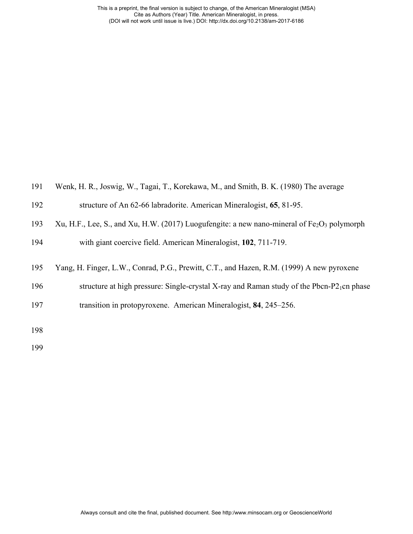| 191 | Wenk, H. R., Joswig, W., Tagai, T., Korekawa, M., and Smith, B. K. (1980) The average                 |
|-----|-------------------------------------------------------------------------------------------------------|
| 192 | structure of An 62-66 labradorite. American Mineralogist, 65, 81-95.                                  |
| 193 | Xu, H.F., Lee, S., and Xu, H.W. (2017) Luogufengite: a new nano-mineral of $Fe2O3$ polymorph          |
| 194 | with giant coercive field. American Mineralogist, 102, 711-719.                                       |
| 195 | Yang, H. Finger, L.W., Conrad, P.G., Prewitt, C.T., and Hazen, R.M. (1999) A new pyroxene             |
| 196 | structure at high pressure: Single-crystal X-ray and Raman study of the Pbcn-P2 <sub>1</sub> cn phase |
| 197 | transition in protopyroxene. American Mineralogist, 84, 245–256.                                      |
| 198 |                                                                                                       |
| 199 |                                                                                                       |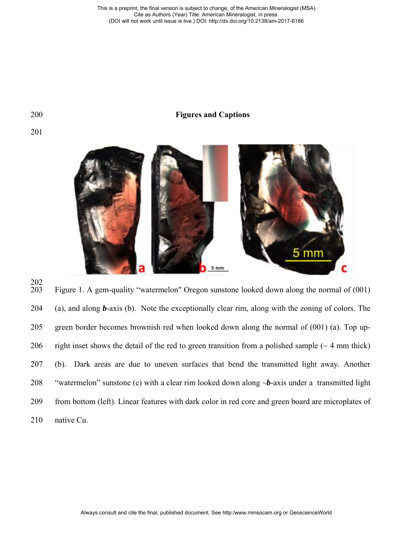### 200 **Figures and Captions**



 $\frac{202}{203}$ Figure 1. A gem-quality "watermelon" Oregon sunstone looked down along the normal of (001) (a), and along *b*-axis (b). Note the exceptionally clear rim, along with the zoning of colors. The green border becomes brownish red when looked down along the normal of (001) (a). Top up-206 right inset shows the detail of the red to green transition from a polished sample  $(\sim 4 \text{ mm thick})$  (b). Dark areas are due to uneven surfaces that bend the transmitted light away. Another "watermelon" sunstone (c) with a clear rim looked down along ~*b*-axis under a transmitted light from bottom (left). Linear features with dark color in red core and green board are microplates of native Cu.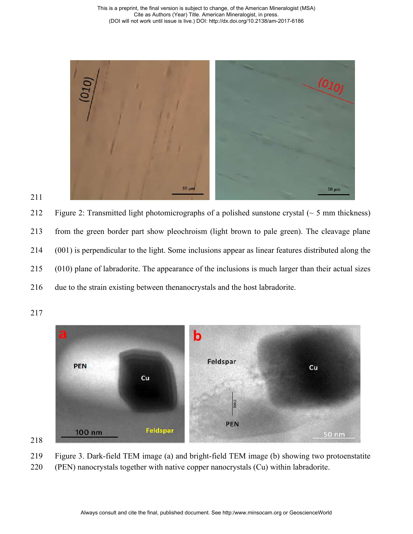

212 Figure 2: Transmitted light photomicrographs of a polished sunstone crystal  $($   $\sim$  5 mm thickness) from the green border part show pleochroism (light brown to pale green). The cleavage plane (001) is perpendicular to the light. Some inclusions appear as linear features distributed along the (010) plane of labradorite. The appearance of the inclusions is much larger than their actual sizes due to the strain existing between thenanocrystals and the host labradorite.





Figure 3. Dark-field TEM image (a) and bright-field TEM image (b) showing two protoenstatite

(PEN) nanocrystals together with native copper nanocrystals (Cu) within labradorite.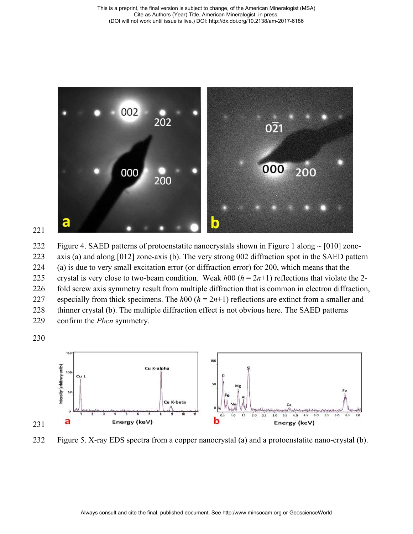

222 Figure 4. SAED patterns of protoenstatite nanocrystals shown in Figure 1 along  $\sim$  [010] zone- axis (a) and along [012] zone-axis (b). The very strong 002 diffraction spot in the SAED pattern (a) is due to very small excitation error (or diffraction error) for 200, which means that the 225 crystal is very close to two-beam condition. Weak  $h00 (h = 2n+1)$  reflections that violate the 2- fold screw axis symmetry result from multiple diffraction that is common in electron diffraction, 227 especially from thick specimens. The  $h00$  ( $h = 2n+1$ ) reflections are extinct from a smaller and thinner crystal (b). The multiple diffraction effect is not obvious here. The SAED patterns confirm the *Pbcn* symmetry.

230



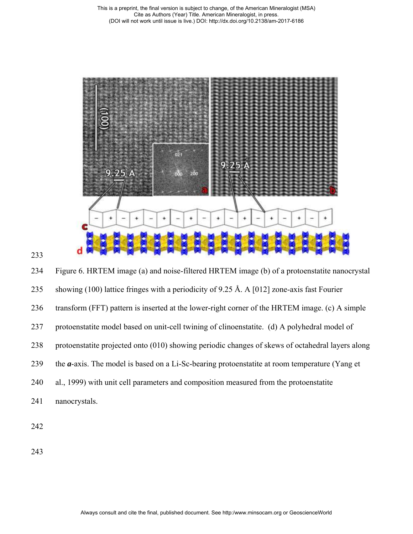



 Figure 6. HRTEM image (a) and noise-filtered HRTEM image (b) of a protoenstatite nanocrystal showing (100) lattice fringes with a periodicity of 9.25 Å. A [012] zone-axis fast Fourier transform (FFT) pattern is inserted at the lower-right corner of the HRTEM image. (c) A simple protoenstatite model based on unit-cell twining of clinoenstatite. (d) A polyhedral model of protoenstatite projected onto (010) showing periodic changes of skews of octahedral layers along the *a*-axis. The model is based on a Li-Sc-bearing protoenstatite at room temperature (Yang et al., 1999) with unit cell parameters and composition measured from the protoenstatite nanocrystals.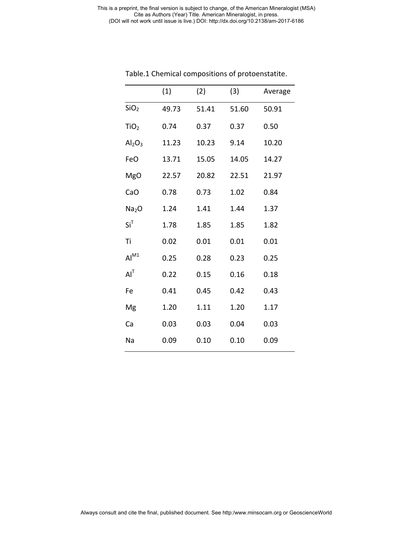|                                | (1)   | (2)   | (3)   | Average |
|--------------------------------|-------|-------|-------|---------|
| SiO <sub>2</sub>               | 49.73 | 51.41 | 51.60 | 50.91   |
| TiO <sub>2</sub>               | 0.74  | 0.37  | 0.37  | 0.50    |
| Al <sub>2</sub> O <sub>3</sub> | 11.23 | 10.23 | 9.14  | 10.20   |
| FeO                            | 13.71 | 15.05 | 14.05 | 14.27   |
| <b>MgO</b>                     | 22.57 | 20.82 | 22.51 | 21.97   |
| CaO                            | 0.78  | 0.73  | 1.02  | 0.84    |
| Na <sub>2</sub> O              | 1.24  | 1.41  | 1.44  | 1.37    |
| $Si^T$                         | 1.78  | 1.85  | 1.85  | 1.82    |
| Ti                             | 0.02  | 0.01  | 0.01  | 0.01    |
| $Al^{M1}$                      | 0.25  | 0.28  | 0.23  | 0.25    |
| $AI^T$                         | 0.22  | 0.15  | 0.16  | 0.18    |
| Fe                             | 0.41  | 0.45  | 0.42  | 0.43    |
| Mg                             | 1.20  | 1.11  | 1.20  | 1.17    |
| Ca                             | 0.03  | 0.03  | 0.04  | 0.03    |
| Na                             | 0.09  | 0.10  | 0.10  | 0.09    |
|                                |       |       |       |         |

Table.1 Chemical compositions of protoenstatite.